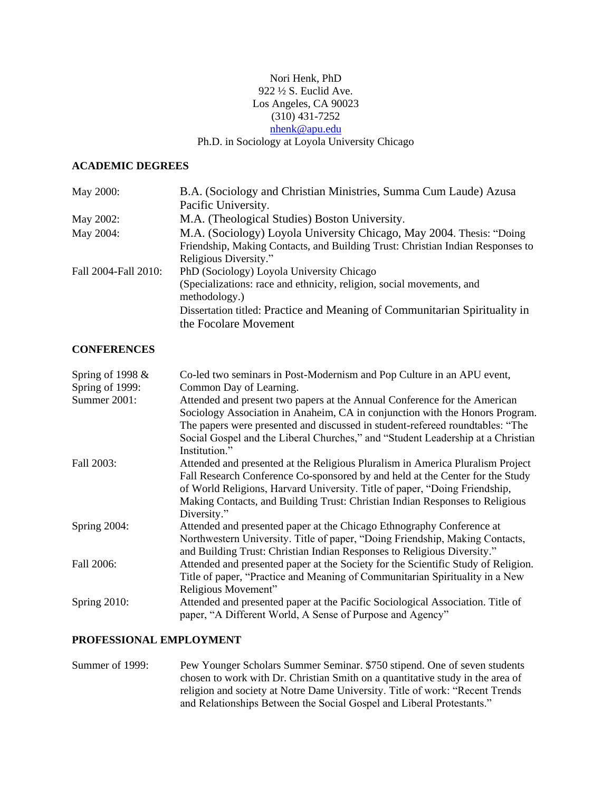## Nori Henk, PhD 922 ½ S. Euclid Ave. Los Angeles, CA 90023 (310) 431-7252 [nhenk@apu.edu](mailto:nhenk@apu.edu) Ph.D. in Sociology at Loyola University Chicago

### **ACADEMIC DEGREES**

| May 2000:            | B.A. (Sociology and Christian Ministries, Summa Cum Laude) Azusa               |
|----------------------|--------------------------------------------------------------------------------|
|                      | Pacific University.                                                            |
| May 2002:            | M.A. (Theological Studies) Boston University.                                  |
| May 2004:            | M.A. (Sociology) Loyola University Chicago, May 2004. Thesis: "Doing           |
|                      | Friendship, Making Contacts, and Building Trust: Christian Indian Responses to |
|                      | Religious Diversity."                                                          |
| Fall 2004-Fall 2010: | PhD (Sociology) Loyola University Chicago                                      |
|                      | (Specializations: race and ethnicity, religion, social movements, and          |
|                      | methodology.)                                                                  |
|                      | Dissertation titled: Practice and Meaning of Communitarian Spirituality in     |
|                      | the Focolare Movement                                                          |

#### **CONFERENCES**

| Spring of 1998 $&$<br>Spring of 1999: | Co-led two seminars in Post-Modernism and Pop Culture in an APU event,<br>Common Day of Learning.                                                                                                                                                                                                                             |
|---------------------------------------|-------------------------------------------------------------------------------------------------------------------------------------------------------------------------------------------------------------------------------------------------------------------------------------------------------------------------------|
| Summer 2001:                          | Attended and present two papers at the Annual Conference for the American<br>Sociology Association in Anaheim, CA in conjunction with the Honors Program.<br>The papers were presented and discussed in student-refereed roundtables: "The                                                                                    |
|                                       | Social Gospel and the Liberal Churches," and "Student Leadership at a Christian<br>Institution."                                                                                                                                                                                                                              |
| Fall 2003:                            | Attended and presented at the Religious Pluralism in America Pluralism Project<br>Fall Research Conference Co-sponsored by and held at the Center for the Study<br>of World Religions, Harvard University. Title of paper, "Doing Friendship,<br>Making Contacts, and Building Trust: Christian Indian Responses to Religious |
| Spring 2004:                          | Diversity."<br>Attended and presented paper at the Chicago Ethnography Conference at                                                                                                                                                                                                                                          |
|                                       | Northwestern University. Title of paper, "Doing Friendship, Making Contacts,<br>and Building Trust: Christian Indian Responses to Religious Diversity."                                                                                                                                                                       |
| Fall 2006:                            | Attended and presented paper at the Society for the Scientific Study of Religion.<br>Title of paper, "Practice and Meaning of Communitarian Spirituality in a New<br>Religious Movement"                                                                                                                                      |
| Spring 2010:                          | Attended and presented paper at the Pacific Sociological Association. Title of<br>paper, "A Different World, A Sense of Purpose and Agency"                                                                                                                                                                                   |

# **PROFESSIONAL EMPLOYMENT**

Summer of 1999: Pew Younger Scholars Summer Seminar. \$750 stipend. One of seven students chosen to work with Dr. Christian Smith on a quantitative study in the area of religion and society at Notre Dame University. Title of work: "Recent Trends and Relationships Between the Social Gospel and Liberal Protestants."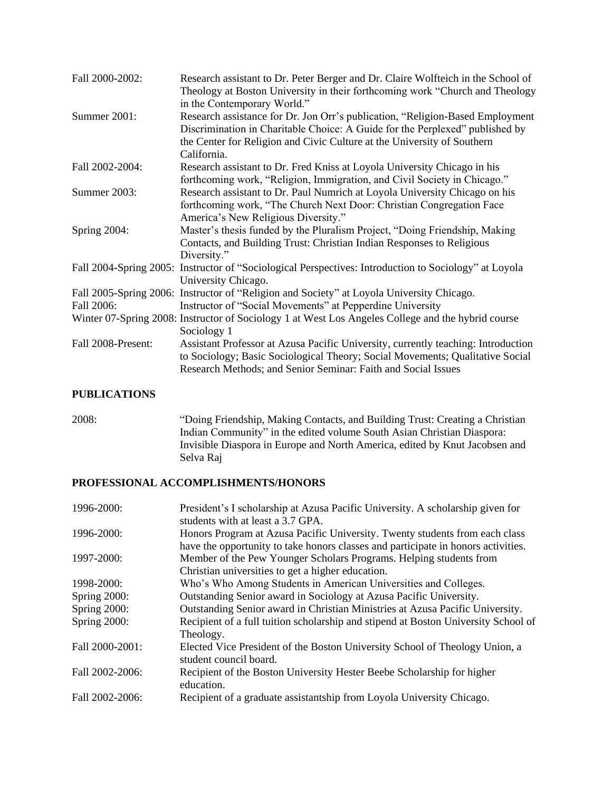| Fall 2000-2002:    | Research assistant to Dr. Peter Berger and Dr. Claire Wolfteich in the School of<br>Theology at Boston University in their forthcoming work "Church and Theology<br>in the Contemporary World."                                                         |  |
|--------------------|---------------------------------------------------------------------------------------------------------------------------------------------------------------------------------------------------------------------------------------------------------|--|
| Summer 2001:       | Research assistance for Dr. Jon Orr's publication, "Religion-Based Employment<br>Discrimination in Charitable Choice: A Guide for the Perplexed" published by<br>the Center for Religion and Civic Culture at the University of Southern<br>California. |  |
| Fall 2002-2004:    | Research assistant to Dr. Fred Kniss at Loyola University Chicago in his<br>forthcoming work, "Religion, Immigration, and Civil Society in Chicago."                                                                                                    |  |
| Summer 2003:       | Research assistant to Dr. Paul Numrich at Loyola University Chicago on his<br>forthcoming work, "The Church Next Door: Christian Congregation Face<br>America's New Religious Diversity."                                                               |  |
| Spring 2004:       | Master's thesis funded by the Pluralism Project, "Doing Friendship, Making<br>Contacts, and Building Trust: Christian Indian Responses to Religious<br>Diversity."                                                                                      |  |
|                    | Fall 2004-Spring 2005: Instructor of "Sociological Perspectives: Introduction to Sociology" at Loyola<br>University Chicago.                                                                                                                            |  |
|                    | Fall 2005-Spring 2006: Instructor of "Religion and Society" at Loyola University Chicago.                                                                                                                                                               |  |
| Fall 2006:         | Instructor of "Social Movements" at Pepperdine University                                                                                                                                                                                               |  |
|                    | Winter 07-Spring 2008: Instructor of Sociology 1 at West Los Angeles College and the hybrid course<br>Sociology 1                                                                                                                                       |  |
| Fall 2008-Present: | Assistant Professor at Azusa Pacific University, currently teaching: Introduction<br>to Sociology; Basic Sociological Theory; Social Movements; Qualitative Social<br>Research Methods; and Senior Seminar: Faith and Social Issues                     |  |

## **PUBLICATIONS**

2008: "Doing Friendship, Making Contacts, and Building Trust: Creating a Christian Indian Community" in the edited volume South Asian Christian Diaspora: Invisible Diaspora in Europe and North America, edited by Knut Jacobsen and Selva Raj

# **PROFESSIONAL ACCOMPLISHMENTS/HONORS**

| 1996-2000:      | President's I scholarship at Azusa Pacific University. A scholarship given for<br>students with at least a 3.7 GPA. |
|-----------------|---------------------------------------------------------------------------------------------------------------------|
| 1996-2000:      | Honors Program at Azusa Pacific University. Twenty students from each class                                         |
|                 | have the opportunity to take honors classes and participate in honors activities.                                   |
| 1997-2000:      | Member of the Pew Younger Scholars Programs. Helping students from                                                  |
|                 | Christian universities to get a higher education.                                                                   |
| 1998-2000:      | Who's Who Among Students in American Universities and Colleges.                                                     |
| Spring 2000:    | Outstanding Senior award in Sociology at Azusa Pacific University.                                                  |
| Spring 2000:    | Outstanding Senior award in Christian Ministries at Azusa Pacific University.                                       |
| Spring 2000:    | Recipient of a full tuition scholarship and stipend at Boston University School of                                  |
|                 | Theology.                                                                                                           |
| Fall 2000-2001: | Elected Vice President of the Boston University School of Theology Union, a<br>student council board.               |
| Fall 2002-2006: | Recipient of the Boston University Hester Beebe Scholarship for higher<br>education.                                |
| Fall 2002-2006: | Recipient of a graduate assistantship from Loyola University Chicago.                                               |